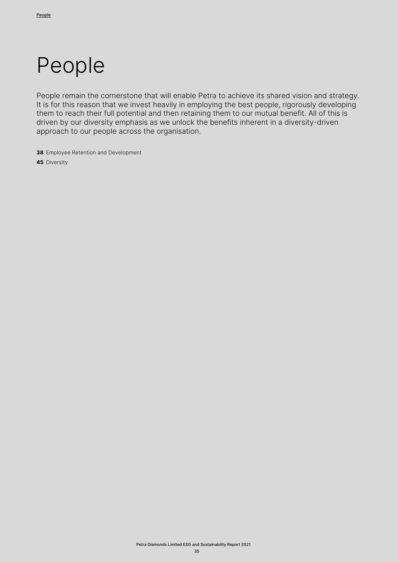# People

People remain the cornerstone that will enable Petra to achieve its shared vision and strategy. It is for this reason that we invest heavily in employing the best people, rigorously developing them to reach their full potential and then retaining them to our mutual benefit. All of this is driven by our diversity emphasis as we unlock the benefits inherent in a diversity-driven approach to our people across the organisation.

**38** Employee Retention and Development **45** Diversity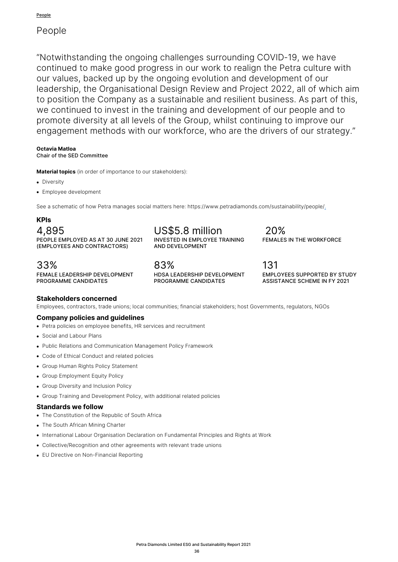# People

"Notwithstanding the ongoing challenges surrounding COVID-19, we have continued to make good progress in our work to realign the Petra culture with our values, backed up by the ongoing evolution and development of our leadership, the Organisational Design Review and Project 2022, all of which aim to position the Company as a sustainable and resilient business. As part of this, we continued to invest in the training and development of our people and to promote diversity at all levels of the Group, whilst continuing to improve our engagement methods with our workforce, who are the drivers of our strategy."

# **Octavia Matloa**

Chair of the SED Committee

**Material topics** (in order of importance to our stakeholders):

- Diversity
- Employee development

See a schematic of how Petra manages social matters here: https://www.petradiamonds.com/sustainability/people/.

# **KPIs**

4,895 PEOPLE EMPLOYED AS AT 30 JUNE 2021 (EMPLOYEES AND CONTRACTORS)

33% FEMALE LEADERSHIP DEVELOPMENT PROGRAMME CANDIDATES

US\$5.8 million INVESTED IN EMPLOYEE TRAINING AND DEVELOPMENT

83% HDSA LEADERSHIP DEVELOPMENT PROGRAMME CANDIDATES

131 EMPLOYEES SUPPORTED BY STUDY ASSISTANCE SCHEME IN FY 2021

FEMALES IN THE WORKFORCE

20%

# **Stakeholders concerned**

Employees, contractors, trade unions; local communities; financial stakeholders; host Governments, regulators, NGOs

### **Company policies and guidelines**

- Petra policies on employee benefits, HR services and recruitment
- Social and Labour Plans
- Public Relations and Communication Management Policy Framework
- Code of Ethical Conduct and related policies
- Group Human Rights Policy Statement
- Group Employment Equity Policy
- Group Diversity and Inclusion Policy
- Group Training and Development Policy, with additional related policies

#### **Standards we follow**

- The Constitution of the Republic of South Africa
- The South African Mining Charter
- International Labour Organisation Declaration on Fundamental Principles and Rights at Work
- Collective/Recognition and other agreements with relevant trade unions
- EU Directive on Non-Financial Reporting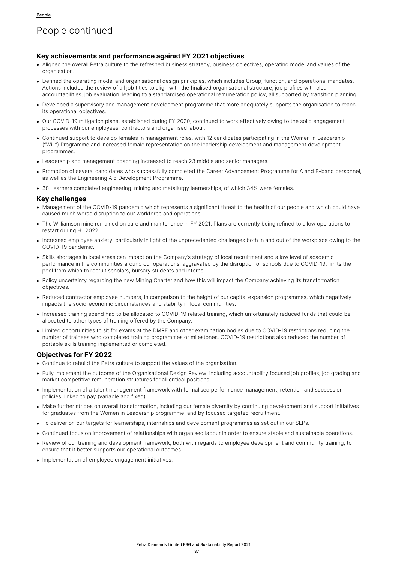# People continued

### **Key achievements and performance against FY 2021 objectives**

- Aligned the overall Petra culture to the refreshed business strategy, business objectives, operating model and values of the organisation.
- Defined the operating model and organisational design principles, which includes Group, function, and operational mandates. Actions included the review of all job titles to align with the finalised organisational structure, job profiles with clear accountabilities, job evaluation, leading to a standardised operational remuneration policy, all supported by transition planning.
- Developed a supervisory and management development programme that more adequately supports the organisation to reach its operational objectives.
- Our COVID-19 mitigation plans, established during FY 2020, continued to work effectively owing to the solid engagement processes with our employees, contractors and organised labour.
- Continued support to develop females in management roles, with 12 candidates participating in the Women in Leadership ("WiL") Programme and increased female representation on the leadership development and management development programmes.
- Leadership and management coaching increased to reach 23 middle and senior managers.
- Promotion of several candidates who successfully completed the Career Advancement Programme for A and B-band personnel, as well as the Engineering Aid Development Programme.
- 38 Learners completed engineering, mining and metallurgy learnerships, of which 34% were females.

#### **Key challenges**

- Management of the COVID-19 pandemic which represents a significant threat to the health of our people and which could have caused much worse disruption to our workforce and operations.
- The Williamson mine remained on care and maintenance in FY 2021. Plans are currently being refined to allow operations to restart during H1 2022.
- Increased employee anxiety, particularly in light of the unprecedented challenges both in and out of the workplace owing to the COVID-19 pandemic.
- Skills shortages in local areas can impact on the Company's strategy of local recruitment and a low level of academic performance in the communities around our operations, aggravated by the disruption of schools due to COVID-19, limits the pool from which to recruit scholars, bursary students and interns.
- Policy uncertainty regarding the new Mining Charter and how this will impact the Company achieving its transformation objectives.
- Reduced contractor employee numbers, in comparison to the height of our capital expansion programmes, which negatively impacts the socio-economic circumstances and stability in local communities.
- Increased training spend had to be allocated to COVID-19 related training, which unfortunately reduced funds that could be allocated to other types of training offered by the Company.
- Limited opportunities to sit for exams at the DMRE and other examination bodies due to COVID-19 restrictions reducing the number of trainees who completed training programmes or milestones. COVID-19 restrictions also reduced the number of portable skills training implemented or completed.

### **Objectives for FY 2022**

- Continue to rebuild the Petra culture to support the values of the organisation.
- Fully implement the outcome of the Organisational Design Review, including accountability focused job profiles, job grading and market competitive remuneration structures for all critical positions.
- Implementation of a talent management framework with formalised performance management, retention and succession policies, linked to pay (variable and fixed).
- Make further strides on overall transformation, including our female diversity by continuing development and support initiatives for graduates from the Women in Leadership programme, and by focused targeted recruitment.
- To deliver on our targets for learnerships, internships and development programmes as set out in our SLPs.
- Continued focus on improvement of relationships with organised labour in order to ensure stable and sustainable operations.
- Review of our training and development framework, both with regards to employee development and community training, to ensure that it better supports our operational outcomes.
- Implementation of employee engagement initiatives.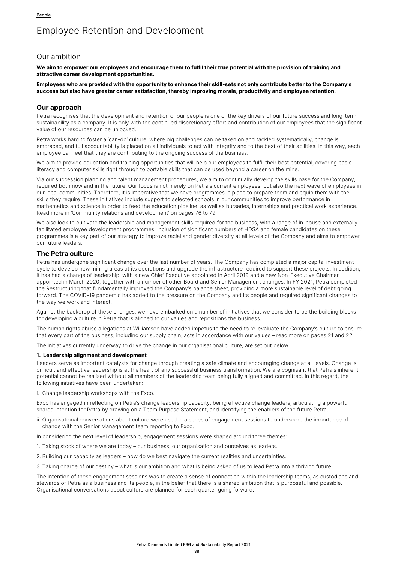# Employee Retention and Development

# Our ambition

**We aim to empower our employees and encourage them to fulfil their true potential with the provision of training and attractive career development opportunities.** 

**Employees who are provided with the opportunity to enhance their skill-sets not only contribute better to the Company's success but also have greater career satisfaction, thereby improving morale, productivity and employee retention.**

### **Our approach**

Petra recognises that the development and retention of our people is one of the key drivers of our future success and long-term sustainability as a company. It is only with the continued discretionary effort and contribution of our employees that the significant value of our resources can be unlocked.

Petra works hard to foster a 'can-do' culture, where big challenges can be taken on and tackled systematically, change is embraced, and full accountability is placed on all individuals to act with integrity and to the best of their abilities. In this way, each employee can feel that they are contributing to the ongoing success of the business.

We aim to provide education and training opportunities that will help our employees to fulfil their best potential, covering basic literacy and computer skills right through to portable skills that can be used beyond a career on the mine.

Via our succession planning and talent management procedures, we aim to continually develop the skills base for the Company, required both now and in the future. Our focus is not merely on Petra's current employees, but also the next wave of employees in our local communities. Therefore, it is imperative that we have programmes in place to prepare them and equip them with the skills they require. These initiatives include support to selected schools in our communities to improve performance in mathematics and science in order to feed the education pipeline, as well as bursaries, internships and practical work experience. Read more in 'Community relations and development' on pages 76 to 79.

We also look to cultivate the leadership and management skills required for the business, with a range of in-house and externally facilitated employee development programmes. Inclusion of significant numbers of HDSA and female candidates on these programmes is a key part of our strategy to improve racial and gender diversity at all levels of the Company and aims to empower our future leaders.

# **The Petra culture**

Petra has undergone significant change over the last number of years. The Company has completed a major capital investment cycle to develop new mining areas at its operations and upgrade the infrastructure required to support these projects. In addition, it has had a change of leadership, with a new Chief Executive appointed in April 2019 and a new Non-Executive Chairman appointed in March 2020, together with a number of other Board and Senior Management changes. In FY 2021, Petra completed the Restructuring that fundamentally improved the Company's balance sheet, providing a more sustainable level of debt going forward. The COVID-19 pandemic has added to the pressure on the Company and its people and required significant changes to the way we work and interact.

Against the backdrop of these changes, we have embarked on a number of initiatives that we consider to be the building blocks for developing a culture in Petra that is aligned to our values and repositions the business.

The human rights abuse allegations at Williamson have added impetus to the need to re-evaluate the Company's culture to ensure that every part of the business, including our supply chain, acts in accordance with our values – read more on pages 21 and 22.

The initiatives currently underway to drive the change in our organisational culture, are set out below:

#### **1. Leadership alignment and development**

Leaders serve as important catalysts for change through creating a safe climate and encouraging change at all levels. Change is difficult and effective leadership is at the heart of any successful business transformation. We are cognisant that Petra's inherent potential cannot be realised without all members of the leadership team being fully aligned and committed. In this regard, the following initiatives have been undertaken:

i. Change leadership workshops with the Exco.

Exco has engaged in reflecting on Petra's change leadership capacity, being effective change leaders, articulating a powerful shared intention for Petra by drawing on a Team Purpose Statement, and identifying the enablers of the future Petra.

ii. Organisational conversations about culture were used in a series of engagement sessions to underscore the importance of change with the Senior Management team reporting to Exco.

In considering the next level of leadership, engagement sessions were shaped around three themes:

- 1. Taking stock of where we are today our business, our organisation and ourselves as leaders.
- 2. Building our capacity as leaders how do we best navigate the current realities and uncertainties.
- 3. Taking charge of our destiny what is our ambition and what is being asked of us to lead Petra into a thriving future.

The intention of these engagement sessions was to create a sense of connection within the leadership teams, as custodians and stewards of Petra as a business and its people, in the belief that there is a shared ambition that is purposeful and possible. Organisational conversations about culture are planned for each quarter going forward.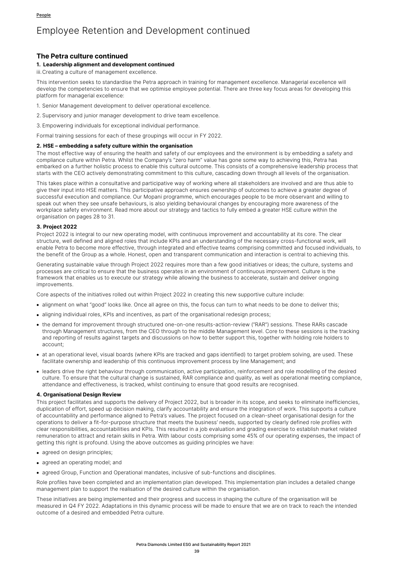### **The Petra culture continued**

#### **1. Leadership alignment and development continued**

iii.Creating a culture of management excellence.

This intervention seeks to standardise the Petra approach in training for management excellence. Managerial excellence will develop the competencies to ensure that we optimise employee potential. There are three key focus areas for developing this platform for managerial excellence:

1. Senior Management development to deliver operational excellence.

2. Supervisory and junior manager development to drive team excellence.

3. Empowering individuals for exceptional individual performance.

Formal training sessions for each of these groupings will occur in FY 2022.

#### **2. HSE – embedding a safety culture within the organisation**

The most effective way of ensuring the health and safety of our employees and the environment is by embedding a safety and compliance culture within Petra. Whilst the Company's "zero harm" value has gone some way to achieving this, Petra has embarked on a further holistic process to enable this cultural outcome. This consists of a comprehensive leadership process that starts with the CEO actively demonstrating commitment to this culture, cascading down through all levels of the organisation.

This takes place within a consultative and participative way of working where all stakeholders are involved and are thus able to give their input into HSE matters. This participative approach ensures ownership of outcomes to achieve a greater degree of successful execution and compliance. Our Mopani programme, which encourages people to be more observant and willing to speak out when they see unsafe behaviours, is also yielding behavioural changes by encouraging more awareness of the workplace safety environment. Read more about our strategy and tactics to fully embed a greater HSE culture within the organisation on pages 28 to 31.

#### **3. Project 2022**

Project 2022 is integral to our new operating model, with continuous improvement and accountability at its core. The clear structure, well defined and aligned roles that include KPIs and an understanding of the necessary cross-functional work, will enable Petra to become more effective, through integrated and effective teams comprising committed and focused individuals, to the benefit of the Group as a whole. Honest, open and transparent communication and interaction is central to achieving this.

Generating sustainable value through Project 2022 requires more than a few good initiatives or ideas; the culture, systems and processes are critical to ensure that the business operates in an environment of continuous improvement. Culture is the framework that enables us to execute our strategy while allowing the business to accelerate, sustain and deliver ongoing improvements.

Core aspects of the initiatives rolled out within Project 2022 in creating this new supportive culture include:

- alignment on what "good" looks like. Once all agree on this, the focus can turn to what needs to be done to deliver this;
- aligning individual roles, KPIs and incentives, as part of the organisational redesign process;
- the demand for improvement through structured one-on-one results-action-review ("RAR") sessions. These RARs cascade through Management structures, from the CEO through to the middle Management level. Core to these sessions is the tracking and reporting of results against targets and discussions on how to better support this, together with holding role holders to account;
- at an operational level, visual boards (where KPIs are tracked and gaps identified) to target problem solving, are used. These facilitate ownership and leadership of this continuous improvement process by line Management; and
- leaders drive the right behaviour through communication, active participation, reinforcement and role modelling of the desired culture. To ensure that the cultural change is sustained, RAR compliance and quality, as well as operational meeting compliance, attendance and effectiveness, is tracked, whilst continuing to ensure that good results are recognised.

#### **4. Organisational Design Review**

This project facilitates and supports the delivery of Project 2022, but is broader in its scope, and seeks to eliminate inefficiencies, duplication of effort, speed up decision making, clarify accountability and ensure the integration of work. This supports a culture of accountability and performance aligned to Petra's values. The project focused on a clean-sheet organisational design for the operations to deliver a fit-for-purpose structure that meets the business' needs, supported by clearly defined role profiles with clear responsibilities, accountabilities and KPIs. This resulted in a job evaluation and grading exercise to establish market related remuneration to attract and retain skills in Petra. With labour costs comprising some 45% of our operating expenses, the impact of getting this right is profound. Using the above outcomes as guiding principles we have:

- agreed on design principles;
- agreed an operating model; and
- agreed Group, Function and Operational mandates, inclusive of sub-functions and disciplines.

Role profiles have been completed and an implementation plan developed. This implementation plan includes a detailed change management plan to support the realisation of the desired culture within the organisation.

These initiatives are being implemented and their progress and success in shaping the culture of the organisation will be measured in Q4 FY 2022. Adaptations in this dynamic process will be made to ensure that we are on track to reach the intended outcome of a desired and embedded Petra culture.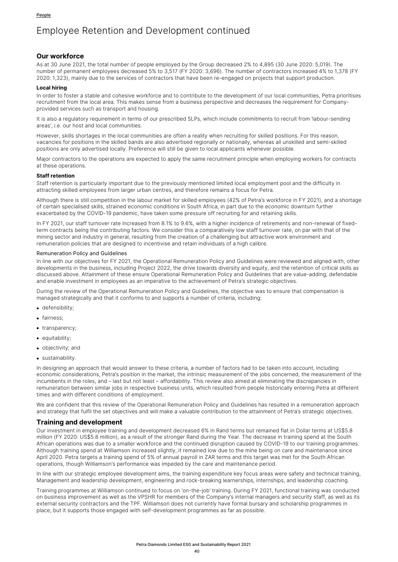### **Our workforce**

As at 30 June 2021, the total number of people employed by the Group decreased 2% to 4,895 (30 June 2020: 5,019). The number of permanent employees decreased 5% to 3,517 (FY 2020: 3,696). The number of contractors increased 4% to 1,378 (FY 2020: 1,323), mainly due to the services of contractors that have been re-engaged on projects that support production.

#### **Local hiring**

In order to foster a stable and cohesive workforce and to contribute to the development of our local communities, Petra prioritises recruitment from the local area. This makes sense from a business perspective and decreases the requirement for Companyprovided services such as transport and housing.

It is also a regulatory requirement in terms of our prescribed SLPs, which include commitments to recruit from 'labour-sending areas', i.e. our host and local communities.

However, skills shortages in the local communities are often a reality when recruiting for skilled positions. For this reason, vacancies for positions in the skilled bands are also advertised regionally or nationally, whereas all unskilled and semi-skilled positions are only advertised locally. Preference will still be given to local applicants whenever possible.

Major contractors to the operations are expected to apply the same recruitment principle when employing workers for contracts at these operations.

#### **Staff retention**

Staff retention is particularly important due to the previously mentioned limited local employment pool and the difficulty in attracting skilled employees from larger urban centres, and therefore remains a focus for Petra.

Although there is still competition in the labour market for skilled employees (42% of Petra's workforce in FY 2021), and a shortage of certain specialised skills, strained economic conditions in South Africa, in part due to the economic downturn further exacerbated by the COVID-19 pandemic, have taken some pressure off recruiting for and retaining skills.

In FY 2021, our staff turnover rate increased from 8.1% to 9.6%, with a higher incidence of retirements and non-renewal of fixedterm contracts being the contributing factors. We consider this a comparatively low staff turnover rate, on par with that of the mining sector and industry in general, resulting from the creation of a challenging but attractive work environment and remuneration policies that are designed to incentivise and retain individuals of a high calibre.

#### Remuneration Policy and Guidelines

In line with our objectives for FY 2021, the Operational Remuneration Policy and Guidelines were reviewed and aligned with, other developments in the business, including Project 2022, the drive towards diversity and equity, and the retention of critical skills as discussed above. Attainment of these ensure Operational Remuneration Policy and Guidelines that are value-adding, defendable and enable investment in employees as an imperative to the achievement of Petra's strategic objectives.

During the review of the Operational Remuneration Policy and Guidelines, the objective was to ensure that compensation is managed strategically and that it conforms to and supports a number of criteria, including:

- defensibility;
- fairness;
- transparency;
- equitability;
- objectivity; and
- sustainability.

In designing an approach that would answer to these criteria, a number of factors had to be taken into account, including economic considerations, Petra's position in the market, the intrinsic measurement of the jobs concerned, the measurement of the incumbents in the roles, and – last but not least – affordability. This review also aimed at eliminating the discrepancies in remuneration between similar jobs in respective business units, which resulted from people historically entering Petra at different times and with different conditions of employment.

We are confident that this review of the Operational Remuneration Policy and Guidelines has resulted in a remuneration approach and strategy that fulfil the set objectives and will make a valuable contribution to the attainment of Petra's strategic objectives.

### **Training and development**

Our investment in employee training and development decreased 6% in Rand terms but remained flat in Dollar terms at US\$5.8 million (FY 2020: US\$5.8 million), as a result of the stronger Rand during the Year. The decrease in training spend at the South African operations was due to a smaller workforce and the continued disruption caused by COVID-19 to our training programmes. Although training spend at Williamson increased slightly, it remained low due to the mine being on care and maintenance since April 2020. Petra targets a training spend of 5% of annual payroll in ZAR terms and this target was met for the South African operations, though Williamson's performance was impeded by the care and maintenance period.

In line with our strategic employee development aims, the training expenditure key focus areas were safety and technical training, Management and leadership development, engineering and rock-breaking learnerships, internships, and leadership coaching.

Training programmes at Williamson continued to focus on 'on-the-job' training. During FY 2021, functional training was conducted on business improvement as well as the VPSHR for members of the Company's internal managers and security staff, as well as its external security contractors and the TPF. Williamson does not currently have formal bursary and scholarship programmes in place, but it supports those engaged with self-development programmes as far as possible.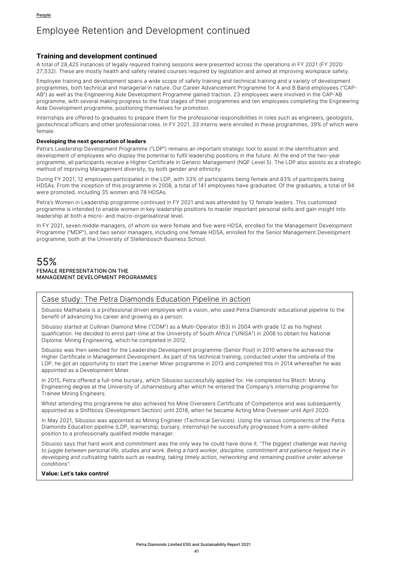### **Training and development continued**

A total of 28,425 instances of legally required training sessions were presented across the operations in FY 2021 (FY 2020: 27,532). These are mostly health and safety related courses required by legislation and aimed at improving workplace safety.

Employee training and development spans a wide scope of safety training and technical training and a variety of development programmes, both technical and managerial in nature. Our Career Advancement Programme for A and B Band employees ("CAP-AB") as well as the Engineering Aide Development Programme gained traction. 23 employees were involved in the CAP-AB programme, with several making progress to the final stages of their programmes and ten employees completing the Engineering Aide Development programme, positioning themselves for promotion.

Internships are offered to graduates to prepare them for the professional responsibilities in roles such as engineers, geologists, geotechnical officers and other professional roles. In FY 2021, 33 interns were enrolled in these programmes, 39% of which were female.

#### **Developing the next generation of leaders**

Petra's Leadership Development Programme ("LDP") remains an important strategic tool to assist in the identification and development of employees who display the potential to fulfil leadership positions in the future. At the end of the two-year programme, all participants receive a Higher Certificate in Generic Management (NQF Level 5). The LDP also assists as a strategic method of improving Management diversity, by both gender and ethnicity.

During FY 2021, 12 employees participated in the LDP, with 33% of participants being female and 83% of participants being HDSAs. From the inception of this programme in 2008, a total of 141 employees have graduated. Of the graduates, a total of 94 were promoted, including 35 women and 78 HDSAs.

Petra's Women in Leadership programme continued in FY 2021 and was attended by 12 female leaders. This customised programme is intended to enable women in key leadership positions to master important personal skills and gain insight into leadership at both a micro- and macro-organisational level.

In FY 2021, seven middle managers, of whom six were female and five were HDSA, enrolled for the Management Development Programme ("MDP"), and two senior managers, including one female HDSA, enrolled for the Senior Management Development programme, both at the University of Stellenbosch Business School.

# 55% FEMALE REPRESENTATION ON THE MANAGEMENT DEVELOPMENT PROGRAMMES

# Case study: The Petra Diamonds Education Pipeline in action

Sibusiso Mathabela is a professional driven employee with a vision, who used Petra Diamonds' educational pipeline to the benefit of advancing his career and growing as a person.

Sibusiso started at Cullinan Diamond Mine ("CDM") as a Multi-Operator (B3) in 2004 with grade 12 as his highest qualification. He decided to enrol part-time at the University of South Africa ("UNISA") in 2006 to obtain his National Diploma: Mining Engineering, which he completed in 2012.

Sibusiso was then selected for the Leadership Development programme (Senior Pool) in 2010 where he achieved the Higher Certificate in Management Development. As part of his technical training, conducted under the umbrella of the LDP, he got an opportunity to start the Learner Miner programme in 2013 and completed this in 2014 whereafter he was appointed as a Development Miner.

In 2015, Petra offered a full-time bursary, which Sibusiso successfully applied for. He completed his Btech: Mining Engineering degree at the University of Johannesburg after which he entered the Company's internship programme for Trainee Mining Engineers.

Whilst attending this programme he also achieved his Mine Overseers Certificate of Competence and was subsequently appointed as a Shiftboss (Development Section) until 2018, when he became Acting Mine Overseer until April 2020.

In May 2021, Sibusiso was appointed as Mining Engineer (Technical Services). Using the various components of the Petra Diamonds Education pipeline (LDP, learnership, bursary, internship) he successfully progressed from a semi-skilled position to a professionally qualified middle manager.

Sibusiso says that hard work and commitment was the only way he could have done it. *"The biggest challenge was having*  to juggle between personal life, studies and work. Being a hard worker, discipline, commitment and patience helped me in *developing and cultivating habits such as reading, taking timely action, networking and remaining positive under adverse conditions".*

#### **Value: Let's take control**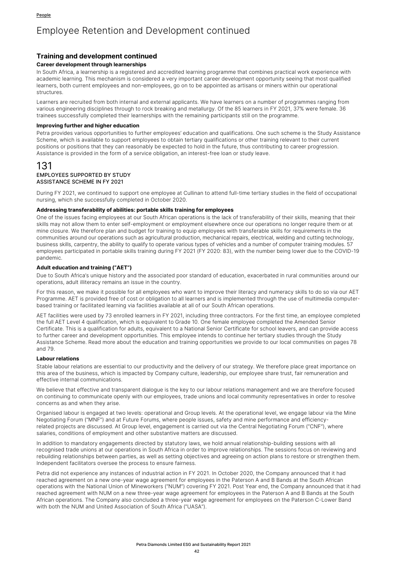# **Training and development continued**

#### **Career development through learnerships**

In South Africa, a learnership is a registered and accredited learning programme that combines practical work experience with academic learning. This mechanism is considered a very important career development opportunity seeing that most qualified learners, both current employees and non-employees, go on to be appointed as artisans or miners within our operational structures.

Learners are recruited from both internal and external applicants. We have learners on a number of programmes ranging from various engineering disciplines through to rock breaking and metallurgy. Of the 85 learners in FY 2021, 37% were female. 36 trainees successfully completed their learnerships with the remaining participants still on the programme.

#### **Improving further and higher education**

Petra provides various opportunities to further employees' education and qualifications. One such scheme is the Study Assistance Scheme, which is available to support employees to obtain tertiary qualifications or other training relevant to their current positions or positions that they can reasonably be expected to hold in the future, thus contributing to career progression. Assistance is provided in the form of a service obligation, an interest-free loan or study leave.

### 131 EMPLOYEES SUPPORTED BY STUDY ASSISTANCE SCHEME IN FY 2021

During FY 2021, we continued to support one employee at Cullinan to attend full-time tertiary studies in the field of occupational nursing, which she successfully completed in October 2020.

#### **Addressing transferability of abilities: portable skills training for employees**

One of the issues facing employees at our South African operations is the lack of transferability of their skills, meaning that their skills may not allow them to enter self-employment or employment elsewhere once our operations no longer require them or at mine closure. We therefore plan and budget for training to equip employees with transferable skills for requirements in the communities around our operations such as agricultural production, mechanical repairs, electrical, welding and cutting technology, business skills, carpentry, the ability to qualify to operate various types of vehicles and a number of computer training modules. 57 employees participated in portable skills training during FY 2021 (FY 2020: 83), with the number being lower due to the COVID-19 pandemic.

#### **Adult education and training ("AET")**

Due to South Africa's unique history and the associated poor standard of education, exacerbated in rural communities around our operations, adult illiteracy remains an issue in the country.

For this reason, we make it possible for all employees who want to improve their literacy and numeracy skills to do so via our AET Programme. AET is provided free of cost or obligation to all learners and is implemented through the use of multimedia computerbased training or facilitated learning via facilities available at all of our South African operations.

AET facilities were used by 73 enrolled learners in FY 2021, including three contractors. For the first time, an employee completed the full AET Level 4 qualification, which is equivalent to Grade 10. One female employee completed the Amended Senior Certificate. This is a qualification for adults, equivalent to a National Senior Certificate for school leavers, and can provide access to further career and development opportunities. This employee intends to continue her tertiary studies through the Study Assistance Scheme. Read more about the education and training opportunities we provide to our local communities on pages 78 and 79.

#### **Labour relations**

Stable labour relations are essential to our productivity and the delivery of our strategy. We therefore place great importance on this area of the business, which is impacted by Company culture, leadership, our employee share trust, fair remuneration and effective internal communications.

We believe that effective and transparent dialogue is the key to our labour relations management and we are therefore focused on continuing to communicate openly with our employees, trade unions and local community representatives in order to resolve concerns as and when they arise.

Organised labour is engaged at two levels: operational and Group levels. At the operational level, we engage labour via the Mine Negotiating Forum ("MNF") and at Future Forums, where people issues, safety and mine performance and efficiencyrelated projects are discussed. At Group level, engagement is carried out via the Central Negotiating Forum ("CNF"), where salaries, conditions of employment and other substantive matters are discussed.

In addition to mandatory engagements directed by statutory laws, we hold annual relationship-building sessions with all recognised trade unions at our operations in South Africa in order to improve relationships. The sessions focus on reviewing and rebuilding relationships between parties, as well as setting objectives and agreeing on action plans to restore or strengthen them. Independent facilitators oversee the process to ensure fairness.

Petra did not experience any instances of industrial action in FY 2021. In October 2020, the Company announced that it had reached agreement on a new one-year wage agreement for employees in the Paterson A and B Bands at the South African operations with the National Union of Mineworkers ("NUM") covering FY 2021. Post Year end, the Company announced that it had reached agreement with NUM on a new three-year wage agreement for employees in the Paterson A and B Bands at the South African operations. The Company also concluded a three-year wage agreement for employees on the Paterson C-Lower Band with both the NUM and United Association of South Africa ("UASA").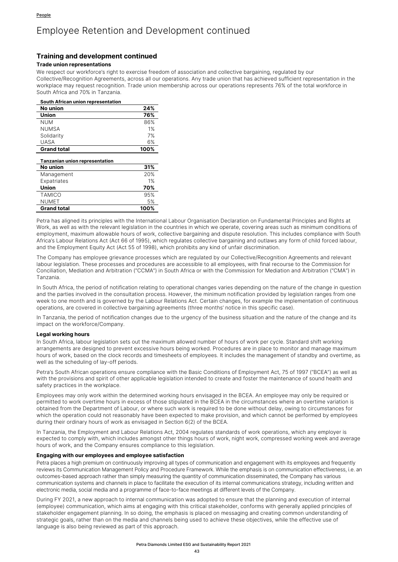### **Training and development continued**

#### **Trade union representations**

We respect our workforce's right to exercise freedom of association and collective bargaining, regulated by our Collective/Recognition Agreements, across all our operations. Any trade union that has achieved sufficient representation in the workplace may request recognition. Trade union membership across our operations represents 76% of the total workforce in South Africa and 70% in Tanzania.

| South African union representation    |      |  |  |  |
|---------------------------------------|------|--|--|--|
| No union                              | 24%  |  |  |  |
| Union                                 | 76%  |  |  |  |
| num                                   | 86%  |  |  |  |
| NUMSA                                 | 1%   |  |  |  |
| Solidarity                            | 7%   |  |  |  |
| UASA                                  | 6%   |  |  |  |
| <b>Grand total</b>                    | 100% |  |  |  |
| <b>Tanzanian union representation</b> |      |  |  |  |
| No union                              | 31%  |  |  |  |
| Management                            | 20%  |  |  |  |
| Expatriates                           | 1%   |  |  |  |
| Union                                 | 70%  |  |  |  |
| <b>TAMICO</b>                         | 95%  |  |  |  |
| <b>NUMET</b>                          | 5%   |  |  |  |
| <b>Grand total</b><br>100%            |      |  |  |  |

Petra has aligned its principles with the International Labour Organisation Declaration on Fundamental Principles and Rights at Work, as well as with the relevant legislation in the countries in which we operate, covering areas such as minimum conditions of employment, maximum allowable hours of work, collective bargaining and dispute resolution. This includes compliance with South Africa's Labour Relations Act (Act 66 of 1995), which regulates collective bargaining and outlaws any form of child forced labour, and the Employment Equity Act (Act 55 of 1998), which prohibits any kind of unfair discrimination.

The Company has employee grievance processes which are regulated by our Collective/Recognition Agreements and relevant labour legislation. These processes and procedures are accessible to all employees, with final recourse to the Commission for Conciliation, Mediation and Arbitration ("CCMA") in South Africa or with the Commission for Mediation and Arbitration ("CMA") in Tanzania.

In South Africa, the period of notification relating to operational changes varies depending on the nature of the change in question and the parties involved in the consultation process. However, the minimum notification provided by legislation ranges from one week to one month and is governed by the Labour Relations Act. Certain changes, for example the implementation of continuous operations, are covered in collective bargaining agreements (three months' notice in this specific case).

In Tanzania, the period of notification changes due to the urgency of the business situation and the nature of the change and its impact on the workforce/Company.

#### **Legal working hours**

In South Africa, labour legislation sets out the maximum allowed number of hours of work per cycle. Standard shift working arrangements are designed to prevent excessive hours being worked. Procedures are in place to monitor and manage maximum hours of work, based on the clock records and timesheets of employees. It includes the management of standby and overtime, as well as the scheduling of lay-off periods.

Petra's South African operations ensure compliance with the Basic Conditions of Employment Act, 75 of 1997 ("BCEA") as well as with the provisions and spirit of other applicable legislation intended to create and foster the maintenance of sound health and safety practices in the workplace.

Employees may only work within the determined working hours envisaged in the BCEA. An employee may only be required or permitted to work overtime hours in excess of those stipulated in the BCEA in the circumstances where an overtime variation is obtained from the Department of Labour, or where such work is required to be done without delay, owing to circumstances for which the operation could not reasonably have been expected to make provision, and which cannot be performed by employees during their ordinary hours of work as envisaged in Section 6(2) of the BCEA.

In Tanzania, the Employment and Labour Relations Act, 2004 regulates standards of work operations, which any employer is expected to comply with, which includes amongst other things hours of work, night work, compressed working week and average hours of work, and the Company ensures compliance to this legislation.

#### **Engaging with our employees and employee satisfaction**

Petra places a high premium on continuously improving all types of communication and engagement with its employees and frequently reviews its Communication Management Policy and Procedure Framework. While the emphasis is on communication effectiveness, i.e. an outcomes-based approach rather than simply measuring the quantity of communication disseminated, the Company has various communication systems and channels in place to facilitate the execution of its internal communications strategy, including written and electronic media, social media and a programme of face-to-face meetings at different levels of the Company.

During FY 2021, a new approach to internal communication was adopted to ensure that the planning and execution of internal (employee) communication, which aims at engaging with this critical stakeholder, conforms with generally applied principles of stakeholder engagement planning. In so doing, the emphasis is placed on messaging and creating common understanding of strategic goals, rather than on the media and channels being used to achieve these objectives, while the effective use of language is also being reviewed as part of this approach.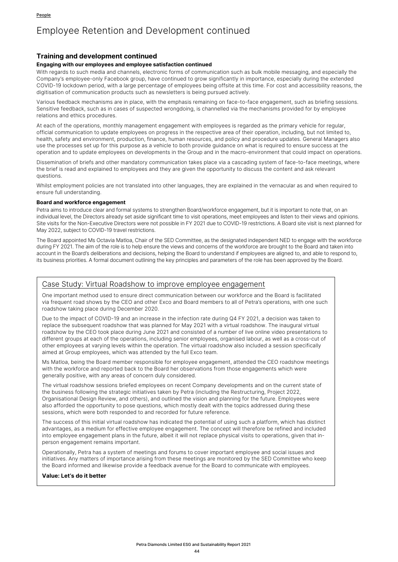#### **Training and development continued**

#### **Engaging with our employees and employee satisfaction continued**

With regards to such media and channels, electronic forms of communication such as bulk mobile messaging, and especially the Company's employee-only Facebook group, have continued to grow significantly in importance, especially during the extended COVID-19 lockdown period, with a large percentage of employees being offsite at this time. For cost and accessibility reasons, the digitisation of communication products such as newsletters is being pursued actively.

Various feedback mechanisms are in place, with the emphasis remaining on face-to-face engagement, such as briefing sessions. Sensitive feedback, such as in cases of suspected wrongdoing, is channelled via the mechanisms provided for by employee relations and ethics procedures.

At each of the operations, monthly management engagement with employees is regarded as the primary vehicle for regular, official communication to update employees on progress in the respective area of their operation, including, but not limited to, health, safety and environment, production, finance, human resources, and policy and procedure updates. General Managers also use the processes set up for this purpose as a vehicle to both provide guidance on what is required to ensure success at the operation and to update employees on developments in the Group and in the macro-environment that could impact on operations.

Dissemination of briefs and other mandatory communication takes place via a cascading system of face-to-face meetings, where the brief is read and explained to employees and they are given the opportunity to discuss the content and ask relevant questions.

Whilst employment policies are not translated into other languages, they are explained in the vernacular as and when required to ensure full understanding.

#### **Board and workforce engagement**

Petra aims to introduce clear and formal systems to strengthen Board/workforce engagement, but it is important to note that, on an individual level, the Directors already set aside significant time to visit operations, meet employees and listen to their views and opinions. Site visits for the Non-Executive Directors were not possible in FY 2021 due to COVID-19 restrictions. A Board site visit is next planned for May 2022, subject to COVID-19 travel restrictions.

The Board appointed Ms Octavia Matloa, Chair of the SED Committee, as the designated independent NED to engage with the workforce during FY 2021. The aim of the role is to help ensure the views and concerns of the workforce are brought to the Board and taken into account in the Board's deliberations and decisions, helping the Board to understand if employees are aligned to, and able to respond to, its business priorities. A formal document outlining the key principles and parameters of the role has been approved by the Board.

# Case Study: Virtual Roadshow to improve employee engagement

One important method used to ensure direct communication between our workforce and the Board is facilitated via frequent road shows by the CEO and other Exco and Board members to all of Petra's operations, with one such roadshow taking place during December 2020.

Due to the impact of COVID-19 and an increase in the infection rate during Q4 FY 2021, a decision was taken to replace the subsequent roadshow that was planned for May 2021 with a virtual roadshow. The inaugural virtual roadshow by the CEO took place during June 2021 and consisted of a number of live online video presentations to different groups at each of the operations, including senior employees, organised labour, as well as a cross-cut of other employees at varying levels within the operation. The virtual roadshow also included a session specifically aimed at Group employees, which was attended by the full Exco team.

Ms Matloa, being the Board member responsible for employee engagement, attended the CEO roadshow meetings with the workforce and reported back to the Board her observations from those engagements which were generally positive, with any areas of concern duly considered.

The virtual roadshow sessions briefed employees on recent Company developments and on the current state of the business following the strategic initiatives taken by Petra (including the Restructuring, Project 2022, Organisational Design Review, and others), and outlined the vision and planning for the future. Employees were also afforded the opportunity to pose questions, which mostly dealt with the topics addressed during these sessions, which were both responded to and recorded for future reference.

The success of this initial virtual roadshow has indicated the potential of using such a platform, which has distinct advantages, as a medium for effective employee engagement. The concept will therefore be refined and included into employee engagement plans in the future, albeit it will not replace physical visits to operations, given that inperson engagement remains important.

Operationally, Petra has a system of meetings and forums to cover important employee and social issues and initiatives. Any matters of importance arising from these meetings are monitored by the SED Committee who keep the Board informed and likewise provide a feedback avenue for the Board to communicate with employees.

#### **Value: Let's do it better**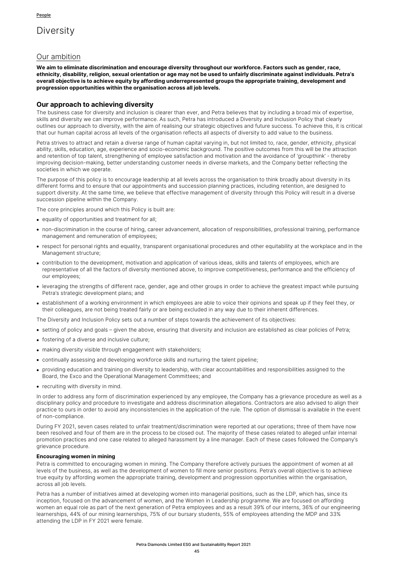# **Diversity**

# Our ambition

**We aim to eliminate discrimination and encourage diversity throughout our workforce. Factors such as gender, race, ethnicity, disability, religion, sexual orientation or age may not be used to unfairly discriminate against individuals. Petra's overall objective is to achieve equity by affording underrepresented groups the appropriate training, development and progression opportunities within the organisation across all job levels.**

### **Our approach to achieving diversity**

The business case for diversity and inclusion is clearer than ever, and Petra believes that by including a broad mix of expertise, skills and diversity we can improve performance. As such, Petra has introduced a Diversity and Inclusion Policy that clearly outlines our approach to diversity, with the aim of realising our strategic objectives and future success. To achieve this, it is critical that our human capital across all levels of the organisation reflects all aspects of diversity to add value to the business.

Petra strives to attract and retain a diverse range of human capital varying in, but not limited to, race, gender, ethnicity, physical ability, skills, education, age, experience and socio-economic background. The positive outcomes from this will be the attraction and retention of top talent, strengthening of employee satisfaction and motivation and the avoidance of 'groupthink' - thereby improving decision-making, better understanding customer needs in diverse markets, and the Company better reflecting the societies in which we operate.

The purpose of this policy is to encourage leadership at all levels across the organisation to think broadly about diversity in its different forms and to ensure that our appointments and succession planning practices, including retention, are designed to support diversity. At the same time, we believe that effective management of diversity through this Policy will result in a diverse succession pipeline within the Company.

The core principles around which this Policy is built are:

- equality of opportunities and treatment for all;
- non-discrimination in the course of hiring, career advancement, allocation of responsibilities, professional training, performance management and remuneration of employees;
- respect for personal rights and equality, transparent organisational procedures and other equitability at the workplace and in the Management structure;
- contribution to the development, motivation and application of various ideas, skills and talents of employees, which are representative of all the factors of diversity mentioned above, to improve competitiveness, performance and the efficiency of our employees;
- leveraging the strengths of different race, gender, age and other groups in order to achieve the greatest impact while pursuing Petra's strategic development plans; and
- establishment of a working environment in which employees are able to voice their opinions and speak up if they feel they, or their colleagues, are not being treated fairly or are being excluded in any way due to their inherent differences.

The Diversity and Inclusion Policy sets out a number of steps towards the achievement of its objectives:

- setting of policy and goals given the above, ensuring that diversity and inclusion are established as clear policies of Petra;
- fostering of a diverse and inclusive culture;
- making diversity visible through engagement with stakeholders;
- continually assessing and developing workforce skills and nurturing the talent pipeline;
- providing education and training on diversity to leadership, with clear accountabilities and responsibilities assigned to the Board, the Exco and the Operational Management Committees; and
- recruiting with diversity in mind.

In order to address any form of discrimination experienced by any employee, the Company has a grievance procedure as well as a disciplinary policy and procedure to investigate and address discrimination allegations. Contractors are also advised to align their practice to ours in order to avoid any inconsistencies in the application of the rule. The option of dismissal is available in the event of non-compliance.

During FY 2021, seven cases related to unfair treatment/discrimination were reported at our operations; three of them have now been resolved and four of them are in the process to be closed out. The majority of these cases related to alleged unfair internal promotion practices and one case related to alleged harassment by a line manager. Each of these cases followed the Company's grievance procedure.

#### **Encouraging women in mining**

Petra is committed to encouraging women in mining. The Company therefore actively pursues the appointment of women at all levels of the business, as well as the development of women to fill more senior positions. Petra's overall objective is to achieve true equity by affording women the appropriate training, development and progression opportunities within the organisation, across all job levels.

Petra has a number of initiatives aimed at developing women into managerial positions, such as the LDP, which has, since its inception, focused on the advancement of women, and the Women in Leadership programme. We are focused on affording women an equal role as part of the next generation of Petra employees and as a result 39% of our interns, 36% of our engineering learnerships, 44% of our mining learnerships, 75% of our bursary students, 55% of employees attending the MDP and 33% attending the LDP in FY 2021 were female.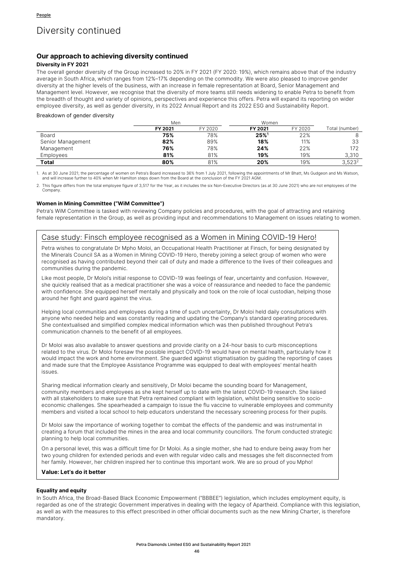# Diversity continued

### **Our approach to achieving diversity continued**

#### **Diversity in FY 2021**

The overall gender diversity of the Group increased to 20% in FY 2021 (FY 2020: 19%), which remains above that of the industry average in South Africa, which ranges from 12%–17% depending on the commodity. We were also pleased to improve gender diversity at the higher levels of the business, with an increase in female representation at Board, Senior Management and Management level. However, we recognise that the diversity of more teams still needs widening to enable Petra to benefit from the breadth of thought and variety of opinions, perspectives and experience this offers. Petra will expand its reporting on wider employee diversity, as well as gender diversity, in its 2022 Annual Report and its 2022 ESG and Sustainability Report.

#### Breakdown of gender diversity

|                   | Men     |         | Women              |         |                    |  |
|-------------------|---------|---------|--------------------|---------|--------------------|--|
|                   | FY 2021 | FY 2020 | FY 2021            | FY 2020 | Total (number)     |  |
| Board             | 75%     | 78%     | $25%$ <sup>1</sup> | 22%     |                    |  |
| Senior Management | 82%     | 89%     | 18%                | 11%     | 33                 |  |
| Management        | 76%     | 78%     | 24%                | 22%     | 172                |  |
| Employees         | 81%     | 81%     | 19%                | 19%     | 3.310              |  |
| Total             | 80%     | 81%     | 20%                | 19%     | 3.523 <sup>2</sup> |  |

1. As at 30 June 2021; the percentage of women on Petra's Board increased to 36% from 1 July 2021, following the appointments of Mr Bhatt, Ms Gudgeon and Ms Watson,<br>and will increase further to 40% when Mr Hamilton steps d

2. This figure differs from the total employee figure of 3,517 for the Year, as it includes the six Non-Executive Directors (as at 30 June 2021) who are not employees of the Company.

#### **Women in Mining Committee ("WiM Committee")**

Petra's WiM Committee is tasked with reviewing Company policies and procedures, with the goal of attracting and retaining female representation in the Group, as well as providing input and recommendations to Management on issues relating to women.

# Case study: Finsch employee recognised as a Women in Mining COVID-19 Hero!

Petra wishes to congratulate Dr Mpho Moloi, an Occupational Health Practitioner at Finsch, for being designated by the Minerals Council SA as a Women in Mining COVID-19 Hero, thereby joining a select group of women who were recognised as having contributed beyond their call of duty and made a difference to the lives of their colleagues and communities during the pandemic.

Like most people, Dr Moloi's initial response to COVID-19 was feelings of fear, uncertainty and confusion. However, she quickly realised that as a medical practitioner she was a voice of reassurance and needed to face the pandemic with confidence. She equipped herself mentally and physically and took on the role of local custodian, helping those around her fight and guard against the virus.

Helping local communities and employees during a time of such uncertainty, Dr Moloi held daily consultations with anyone who needed help and was constantly reading and updating the Company's standard operating procedures. She contextualised and simplified complex medical information which was then published throughout Petra's communication channels to the benefit of all employees.

Dr Moloi was also available to answer questions and provide clarity on a 24-hour basis to curb misconceptions related to the virus. Dr Moloi foresaw the possible impact COVID-19 would have on mental health, particularly how it would impact the work and home environment. She guarded against stigmatisation by guiding the reporting of cases and made sure that the Employee Assistance Programme was equipped to deal with employees' mental health issues.

Sharing medical information clearly and sensitively, Dr Moloi became the sounding board for Management, community members and employees as she kept herself up to date with the latest COVID-19 research. She liaised with all stakeholders to make sure that Petra remained compliant with legislation, whilst being sensitive to socioeconomic challenges. She spearheaded a campaign to issue the flu vaccine to vulnerable employees and community members and visited a local school to help educators understand the necessary screening process for their pupils.

Dr Moloi saw the importance of working together to combat the effects of the pandemic and was instrumental in creating a forum that included the mines in the area and local community councillors. The forum conducted strategic planning to help local communities.

On a personal level, this was a difficult time for Dr Moloi. As a single mother, she had to endure being away from her two young children for extended periods and even with regular video calls and messages she felt disconnected from her family. However, her children inspired her to continue this important work. We are so proud of you Mpho!

#### **Value: Let's do it better**

#### **Equality and equity**

In South Africa, the Broad-Based Black Economic Empowerment ("BBBEE") legislation, which includes employment equity, is regarded as one of the strategic Government imperatives in dealing with the legacy of Apartheid. Compliance with this legislation, as well as with the measures to this effect prescribed in other official documents such as the new Mining Charter, is therefore mandatory.